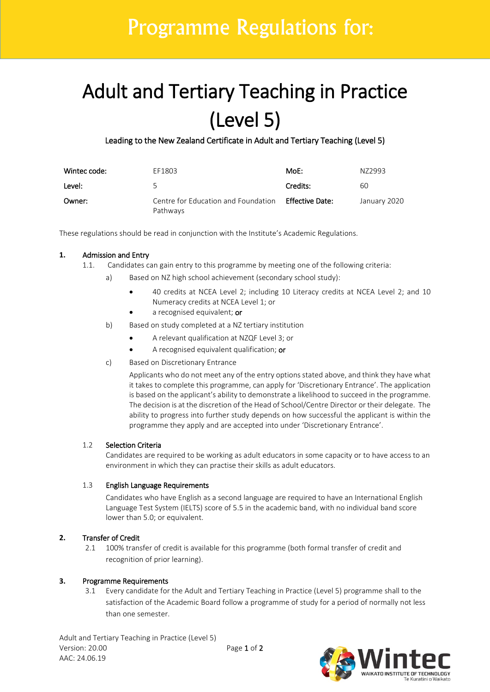# Programme Regulations for:

# Adult and Tertiary Teaching in Practice  $(Level 5)$ <br>Leading to the New Zealand Certificate in Adult and Tertiary Teaching (Level 5)

| Wintec code: | EF1803                                          | MoE:            | N72993       |
|--------------|-------------------------------------------------|-----------------|--------------|
| Level:       | 5                                               | Credits:        | 60           |
| Owner:       | Centre for Education and Foundation<br>Pathways | Effective Date: | January 2020 |

These regulations should be read in conjunction with the Institute's Academic Regulations.

# **1.** Admission and Entry

- 1.1. Candidates can gain entry to this programme by meeting one of the following criteria:
	- a) Based on NZ high school achievement (secondary school study):
		- 40 credits at NCEA Level 2; including 10 Literacy credits at NCEA Level 2; and 10 Numeracy credits at NCEA Level 1; or
		- a recognised equivalent; or
	- b) Based on study completed at a NZ tertiary institution
		- A relevant qualification at NZQF Level 3; or
		- A recognised equivalent qualification; or
	- c) Based on Discretionary Entrance

Applicants who do not meet any of the entry options stated above, and think they have what it takes to complete this programme, can apply for 'Discretionary Entrance'. The application is based on the applicant's ability to demonstrate a likelihood to succeed in the programme. The decision is at the discretion of the Head of School/Centre Director or their delegate. The ability to progress into further study depends on how successful the applicant is within the programme they apply and are accepted into under 'Discretionary Entrance'.

# 1.2 Selection Criteria

Candidates are required to be working as adult educators in some capacity or to have access to an environment in which they can practise their skills as adult educators.

# 1.3 English Language Requirements

Candidates who have English as a second language are required to have an International English Language Test System (IELTS) score of 5.5 in the academic band, with no individual band score lower than 5.0; or equivalent.

# **2.** Transfer of Credit

2.1 100% transfer of credit is available for this programme (both formal transfer of credit and recognition of prior learning).

# **3.** Programme Requirements

3.1 Every candidate for the Adult and Tertiary Teaching in Practice (Level 5) programme shall to the satisfaction of the Academic Board follow a programme of study for a period of normally not less than one semester.

Adult and Tertiary Teaching in Practice (Level 5) Version: 20.00 Page 1 of 2 AAC: 24.06.19